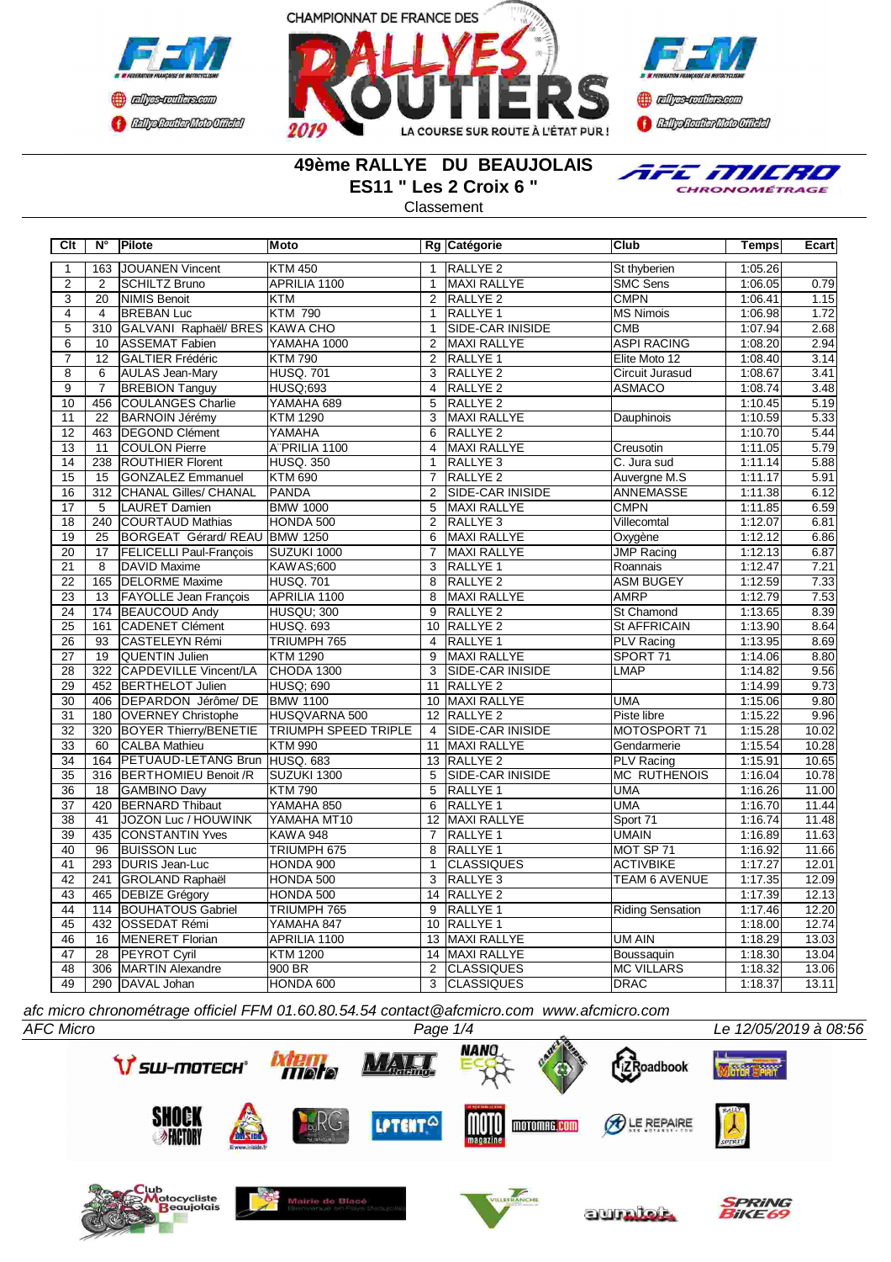





## **49ème RALLYE DU BEAUJOLAIS ES11 " Les 2 Croix 6 "**



**Classement Clt N° Pilote Moto Rg Catégorie Club Temps Ecart** 163 JOUANEN Vincent KTM 450 1 RALLYE 2 St thyberien 1:05.26 2 2 SCHILTZ Bruno APRILIA 1100 1 MAXI RALLYE SMC Sens 1:06.05 0.79 3 | 20 |NIMIS Benoit |KTM | 2 |RALLYE 2 | CMPN | 1:06.41 | 1.15 4 | 4 |BREBAN Luc |KTM 790 | 1 |RALLYE 1 |MS Nimois | 1:06.98| 1.72 5 310 GALVANI Raphaël/ BRES KAWA CHO 1 SIDE-CAR INISIDE CMB 1:07.94 2.68<br>10 ASSEMAT Fabien 1000 1 2 MAXI RALLYE ASPI RACING 1:08.20 2.94 6 10 ASSEMAT Fabien YAMAHA 1000 2 MAXI RALLYE ASPI RACING 1:08.20 7 12 GALTIER Frédéric KTM 790 2 RALLYE 1 Elite Moto 12 1:08.40 3.14 8 6 AULAS Jean-Mary HUSQ. 701 3 RALLYE 2 Circuit Jurasud 1:08.67 3.41<br>
9 7 BREBION Tanguy HUSQ:693 4 RALLYE 2 ASMACO 1:08.74 3.48 BREBION Tanguy 10 456 COULANGES Charlie YAMAHA 689 5 RALLYE 2 1:10.45 5.19<br>11 22 BARNOIN Jérémy KTM 1290 3 MAXI RALLYE Dauphinois 1:10.59 5.33 11 22 BARNOIN Jérémy KTM 1290 3 MAXI RALLYE Dauphinois 12 463 DEGOND Clément YAMAHA 6 RALLYE 2 1:10.70 5.44<br>13 11 COULON Pierre A"PRILIA 1100 4 MAXI RALLYE Creusotin 1:11.05 5.79 13 | 11 |COULON Pierre |A¨PRILIA 1100 | 4 |MAXI RALLYE [Creusotin 1:11.05| 5.79 14 238 ROUTHIER Florent HUSQ. 350 1 RALLYE 3 C. Jura sud 1:11.14 5.88 15 15 GONZALEZ Emmanuel KTM 690 7 RALLYE 2 Auvergne M.S 1:11.17 5.91<br>16 312 CHANAL Gilles/ CHANAL PANDA 2 SIDE-CAR INISIDE ANNEMASSE 1:11.38 6.12 16 312 CHANAL Gilles/ CHANAL PANDA 2 SIDE-CAR INISIDE ANNEMASSE 1:11.38 6.12 17 | 5 |LAURET Damien |BMW 1000 | 5 |MAXI RALLYE | CMPN 1:11.85 | 6.59 18 240 COURTAUD Mathias HONDA 500 2 RALLYE 3 Villecomtal 1:12.07 6.81 19 25 BORGEAT Gérard/ REAU BMW 1250 6 MAXI RALLYE Oxygène 1:12.12 6.86 **FELICELLI Paul-Francois** 21 8 DAVID Maxime KAWAS;600 3 RALLYE 1 Roannais 1:12.47 7.21 22 165 DELORME Maxime HUSQ. 701 8 RALLYE 2 23 13 FAYOLLE Jean François APRILIA 1100 8 MAXI RALLYE AMRP 1:12.79 7.53<br>24 174 BEAUCOUD Andy HUSQU; 300 9 RALLYE 2 St Chamond 1:13.65 8.39 24 174 BEAUCOUD Andy HUSQU; 300 9 RALLYE 2 St Chamond 1:13.65 25 161 CADENET Clément HUSQ. 693 10 RALLYE 2 St AFFRICAIN 1:13.90 8.64<br>26 93 CASTELEYN Rémi TRIUMPH 765 4 RALLYE 1 PLV Racing 1:13.95 8.69 26 | 93 |CASTELEYN Rémi |TRIUMPH 765 | 4 |RALLYE 1 |PLV Racing | 1:13.95| 8.69 27 19 QUENTIN Julien KTM 1290 9 MAXI RALLYE SPORT 71 1:14.06 8.80<br>28 322 CAPDEVILLE Vincent/LA CHODA 1300 3 SIDE-CAR INISIDE LMAP 1:14.82 9.56 28 322 CAPDEVILLE Vincent/LA CHODA 1300 3 SIDE-CAR INISIDE LMAP 1:14.82 9.56<br>29 452 BERTHELOT Julien HUSQ: 690 11 RALLYE 2 29 452 BERTHELOT Julien HUSQ; 690 11 RALLYE 2 1:14.99 9.73<br>29 406 DEPARDON Jérôme/ DE BMW 1100 10 MAXI RALLYE 10 MAXI RALLYE 115.06 9.80 30 406 DEPARDON Jérôme/ DE BMW 1100 10 MAXI RALLYE VMA 1:15.06 9.80 31 180 OVERNEY Christophe HUSQVARNA 500 12 RALLYE 2 Piste libre 1:15.22 9.96 32 320 BOYER Thierry/BENETIE TRIUMPH SPEED TRIPLE 4 SIDE-CAR INISIDE MOTOSPORT 71 1:15.28 10.02<br>33 60 CALBA Mathieu KTM 990 11 MAXI RALLYE Gendarmerie 1:15.54 10.28 34 KTM 990 **11 MAXI RALLYE**<br>33 683 113 RALLYE 2 34 164 PETUAUD-LETANG Brun HUSQ. 683 13 RALLYE 2 PLV Racing 1:15.91 10.65<br>35 316 BERTHOMIEU Benoit /R SUZUKI 1300 15 SIDE-CAR INISIDE MC RUTHENOIS 1:16.04 10.78 35 316 BERTHOMIEU Benoit /R SUZUKI 1300 5 SIDE-CAR INISIDE MC RUTHENOIS 1:16.04 10.78 36 | 18 |GAMBINO Davy |KTM 790 | 5 |RALLYE 1 |UMA 1:16.26| 11.00 37 420 BERNARD Thibaut YAMAHA 850 6 RALLYE 1 UMA 1:16.70 11.44<br>38 41 DOZON Luc/HOLIWINK VAMAHA MT10 12 MAXI RALLYE Sport 71 1:16.74 11.48 38 41 JOZON Luc / HOUWINK YAMAHA MT10 12 MAXI RALLYE Sport 71 11:0.74 11:48<br>39 435 CONSTANTIN Yves KAWA 948 7 RALLYE 1 UMAIN 1:16.89 11.63 39 435 CONSTANTIN Yves KAWA 948 7 RALLYE 1 UMAIN 1:16.89 11.63<br>40 96 BUISSON Luc TRIUMPH 675 8 RALLYE 1 MOT SP 71 1:16.92 11.66 40 96 BUISSON Luc TRIUMPH 675 8 RALLYE 1 MOT SP 71 1:16.92 11.66 41 293 DURIS Jean-Luc HONDA 900 1 CLASSIQUES ACTIVBIKE 1:17.27 12.01

*AFC Micro Page 1/4 Le 12/05/2019 à 08:56 afc micro chronométrage officiel FFM 01.60.80.54.54 contact@afcmicro.com www.afcmicro.com* 14 28 PEYROT Cyril KTM 1200 14 MAXI RALLYE Boussaquin 1:18.30 13.04<br>14 306 MARTIN Alexandre 900 BR 2 CLASSIQUES MC VILLARS 1:18.32 13.06 48 306 MARTIN Alexandre 900 BR 2 CLASSIQUES MC VILLARS 1:18.32 13.06 49 290 DAVAL Johan HONDA 600 3 CLASSIQUES DRAC 1:18.37 13.11

16 | MENERET Florian | APRILIA 1100 | 13 MAXI RALLYE | UM AIN



42 241 GROLAND Raphaël HONDA 500 3 RALLYE 3 TEAM 6 AVENUE 1:17.35 12.09 43 465 DEBIZE Grégory HONDA 500 14 RALLYE 2 117.39 12.13 12.13 12.13 12.13 12.13<br>44 114 BOUHATOUS Gabriel TRIUMPH 765 9 RALLYE 1 Riding Sensation 1:17.46 12.20 114 BOUHATOUS Gabriel TRIUMPH 765 9 RALLYE 1 Riding Sensation 1:17.46 12.20<br>432 OSSEDAT Rémi 17AMAHA 847 10 RALLYE 1 RALLYE 1 1:18.00 12.74 45 432 OSSEDAT Rémi YAMAHA 847 10 RALLYE 1 1:18.00 12.74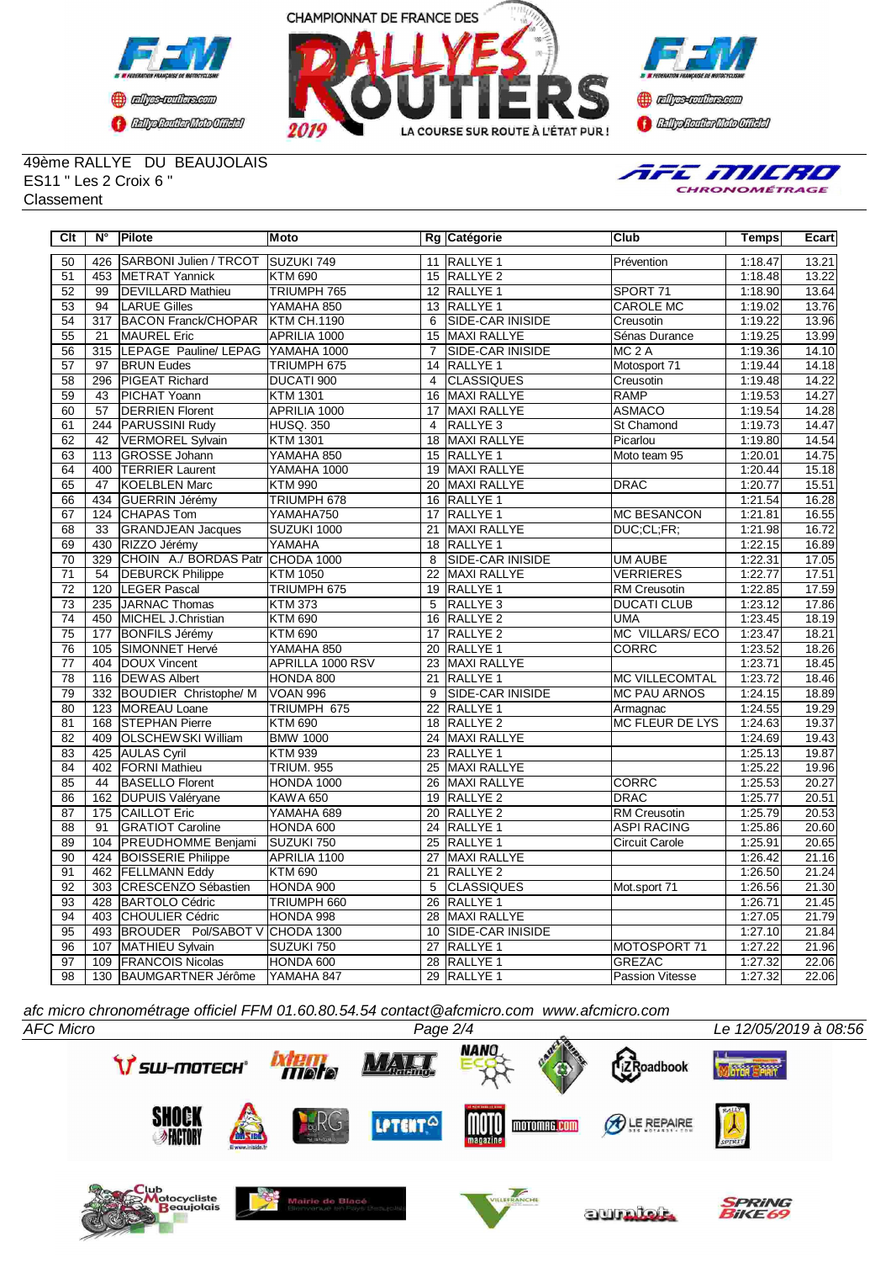





49ème RALLYE DU BEAUJOLAIS ES11 " Les 2 Croix 6 " **Classement** 



| Clt             | $N^{\circ}$     | Pilote                            | <b>Moto</b>        |                 | Rg Catégorie            | Club                   | <b>Temps</b> | Ecart |
|-----------------|-----------------|-----------------------------------|--------------------|-----------------|-------------------------|------------------------|--------------|-------|
| 50              | 426             | <b>SARBONI Julien / TRCOT</b>     | <b>SUZUKI 749</b>  | 11              | <b>RALLYE 1</b>         | Prévention             | 1:18.47      | 13.21 |
| 51              | 453             | METRAT Yannick                    | <b>KTM 690</b>     |                 | 15 RALLYE 2             |                        | 1:18.48      | 13.22 |
| 52              | $\overline{99}$ | <b>DEVILLARD Mathieu</b>          | TRIUMPH 765        |                 | 12 RALLYE 1             | SPORT <sub>71</sub>    | 1:18.90      | 13.64 |
| 53              | 94              | <b>LARUE Gilles</b>               | YAMAHA 850         |                 | 13 RALLYE 1             | <b>CAROLE MC</b>       | 1:19.02      | 13.76 |
| 54              | 317             | <b>BACON Franck/CHOPAR</b>        | <b>KTM CH.1190</b> | 6               | <b>SIDE-CAR INISIDE</b> | Creusotin              | 1:19.22      | 13.96 |
| 55              | 21              | <b>MAUREL Eric</b>                | APRILIA 1000       | 15              | MAXI RALLYE             | Sénas Durance          | 1:19.25      | 13.99 |
| 56              | 315             | LEPAGE Pauline/ LEPAG YAMAHA 1000 |                    | $\overline{7}$  | SIDE-CAR INISIDE        | MC <sub>2</sub> A      | 1:19.36      | 14.10 |
| 57              | 97              | <b>BRUN Eudes</b>                 | TRIUMPH 675        | 14              | <b>RALLYE 1</b>         | Motosport 71           | 1:19.44      | 14.18 |
| $\overline{58}$ | 296             | <b>PIGEAT Richard</b>             | DUCATI 900         | $\overline{4}$  | <b>CLASSIQUES</b>       | Creusotin              | 1:19.48      | 14.22 |
| 59              | 43              | <b>PICHAT Yoann</b>               | <b>KTM 1301</b>    | 16              | <b>MAXI RALLYE</b>      | <b>RAMP</b>            | 1:19.53      | 14.27 |
| 60              | $\overline{57}$ | <b>DERRIEN Florent</b>            | APRILIA 1000       | 17              | <b>MAXI RALLYE</b>      | <b>ASMACO</b>          | 1:19.54      | 14.28 |
| 61              | 244             | <b>PARUSSINI Rudy</b>             | <b>HUSQ. 350</b>   | $\overline{4}$  | RALLYE <sub>3</sub>     | St Chamond             | 1:19.73      | 14.47 |
| 62              | 42              | VERMOREL Sylvain                  | <b>KTM 1301</b>    | 18              | <b>MAXI RALLYE</b>      | Picarlou               | 1:19.80      | 14.54 |
| 63              | 113             | <b>GROSSE Johann</b>              | YAMAHA 850         |                 | 15 RALLYE 1             | Moto team 95           | 1:20.01      | 14.75 |
| 64              | 400             | <b>TERRIER Laurent</b>            | YAMAHA 1000        | 19              | <b>MAXI RALLYE</b>      |                        | 1:20.44      | 15.18 |
| 65              | 47              | <b>KOELBLEN Marc</b>              | <b>KTM 990</b>     | 20              | MAXI RALLYE             | <b>DRAC</b>            | 1:20.77      | 15.51 |
| 66              | 434             | GUERRIN Jérémy                    | TRIUMPH 678        | 16              | <b>RALLYE 1</b>         |                        | 1:21.54      | 16.28 |
| 67              | 124             | <b>CHAPAS Tom</b>                 | YAMAHA750          | 17              | <b>RALLYE 1</b>         | <b>MC BESANCON</b>     | 1:21.81      | 16.55 |
| 68              | 33              | <b>GRANDJEAN Jacques</b>          | SUZUKI 1000        | 21              | <b>MAXI RALLYE</b>      | DUC:CL:FR:             | 1:21.98      | 16.72 |
| 69              | 430             | RIZZO Jérémy                      | YAMAHA             | 18              | RALLYE 1                |                        | 1:22.15      | 16.89 |
| 70              | 329             | CHOIN A./ BORDAS Patr CHODA 1000  |                    | 8               | SIDE-CAR INISIDE        | <b>UM AUBE</b>         | 1:22.31      | 17.05 |
| 71              | 54              | <b>DEBURCK Philippe</b>           | <b>KTM 1050</b>    | 22              | <b>MAXI RALLYE</b>      | <b>VERRIERES</b>       | 1:22.77      | 17.51 |
| 72              | 120             | <b>LEGER Pascal</b>               | TRIUMPH 675        | 19              | RALLYE <sub>1</sub>     | <b>RM Creusotin</b>    | 1:22.85      | 17.59 |
| $\overline{73}$ | 235             | JARNAC Thomas                     | <b>KTM 373</b>     | 5               | RALLYE <sub>3</sub>     | <b>DUCATI CLUB</b>     | 1:23.12      | 17.86 |
| 74              | 450             | MICHEL J.Christian                | <b>KTM 690</b>     | 16              | RALLYE <sub>2</sub>     | <b>UMA</b>             | 1:23.45      | 18.19 |
| 75              | 177             | <b>BONFILS Jérémy</b>             | <b>KTM 690</b>     | 17              | RALLYE <sub>2</sub>     | MC VILLARS/ECO         | 1:23.47      | 18.21 |
| 76              | 105             | SIMONNET Hervé                    | YAMAHA 850         | $\overline{20}$ | RALLYE <sub>1</sub>     | <b>CORRC</b>           | 1:23.52      | 18.26 |
| $\overline{77}$ | 404             | DOUX Vincent                      | APRILLA 1000 RSV   | $\overline{23}$ | <b>MAXI RALLYE</b>      |                        | 1:23.71      | 18.45 |
| $\overline{78}$ | 116             | <b>DEWAS Albert</b>               | HONDA 800          | 21              | <b>RALLYE 1</b>         | <b>MC VILLECOMTAL</b>  | 1:23.72      | 18.46 |
| 79              | 332             | <b>BOUDIER Christophe/ M</b>      | <b>VOAN 996</b>    | $\overline{9}$  | <b>SIDE-CAR INISIDE</b> | <b>MC PAU ARNOS</b>    | 1:24.15      | 18.89 |
| 80              | 123             | MOREAU Loane                      | TRIUMPH 675        | $\overline{22}$ | <b>RALLYE 1</b>         | Armagnac               | 1:24.55      | 19.29 |
| 81              | 168             | <b>STEPHAN Pierre</b>             | <b>KTM 690</b>     |                 | 18 RALLYE 2             | <b>MC FLEUR DE LYS</b> | 1:24.63      | 19.37 |
| 82              | 409             | <b>I</b> OLSCHEWSKI William       | <b>BMW 1000</b>    |                 | 24 MAXI RALLYE          |                        | 1:24.69      | 19.43 |
| 83              | 425             | <b>AULAS Cyril</b>                | <b>KTM 939</b>     |                 | 23 RALLYE 1             |                        | 1:25.13      | 19.87 |
| 84              | 402             | <b>FORNI Mathieu</b>              | <b>TRIUM, 955</b>  | $\overline{25}$ | <b>MAXI RALLYE</b>      |                        | 1:25.22      | 19.96 |
| 85              | 44              | <b>BASELLO Florent</b>            | <b>HONDA 1000</b>  | 26              | MAXI RALLYE             | <b>CORRC</b>           | 1:25.53      | 20.27 |
| 86              | 162             | <b>DUPUIS Valéryane</b>           | <b>KAWA 650</b>    | 19              | <b>RALLYE 2</b>         | <b>DRAC</b>            | 1:25.77      | 20.51 |
| 87              | 175             | <b>CAILLOT Eric</b>               | YAMAHA 689         | 20              | RALLYE <sub>2</sub>     | <b>RM Creusotin</b>    | 1:25.79      | 20.53 |
| 88              | $\overline{91}$ | <b>GRATIOT Caroline</b>           | HONDA 600          | 24              | <b>RALLYE 1</b>         | <b>ASPI RACING</b>     | 1:25.86      | 20.60 |
| 89              | 104             | <b>PREUDHOMME Benjami</b>         | SUZUKI 750         | 25              | <b>RALLYE 1</b>         | <b>Circuit Carole</b>  | 1:25.91      | 20.65 |
| 90              | 424             | <b>BOISSERIE Philippe</b>         | APRILIA 1100       | $\overline{27}$ | <b>MAXI RALLYE</b>      |                        | 1:26.42      | 21.16 |
| 91              |                 | 462 FELLMANN Eddy                 | <b>KTM 690</b>     | 21              | RALLYE <sub>2</sub>     |                        | 1:26.50      | 21.24 |
| $\overline{92}$ |                 | 303 CRESCENZO Sébastien           | HONDA 900          | 5               | <b>CLASSIQUES</b>       | Mot.sport 71           | 1:26.56      | 21.30 |
| 93              | 428             | <b>BARTOLO Cédric</b>             | TRIUMPH 660        | 26              | RALLYE 1                |                        | 1:26.71      | 21.45 |
| 94              | 403             | <b>CHOULIER Cédric</b>            | HONDA 998          | 28              | MAXI RALLYE             |                        | 1:27.05      | 21.79 |
| 95              | 493             | BROUDER Pol/SABOT V CHODA 1300    |                    | 10              | SIDE-CAR INISIDE        |                        | 1:27.10      | 21.84 |
| 96              | 107             | MATHIEU Sylvain                   | SUZUKI 750         | $\overline{27}$ | RALLYE <sub>1</sub>     | MOTOSPORT 71           | 1:27.22      | 21.96 |
| 97              | 109             | <b>FRANCOIS Nicolas</b>           | HONDA 600          |                 | 28 RALLYE 1             | <b>GREZAC</b>          | 1:27.32      | 22.06 |
| 98              | 130             | BAUMGARTNER Jérôme                | YAMAHA 847         |                 | 29 RALLYE 1             | <b>Passion Vitesse</b> | 1:27.32      | 22.06 |

*afc micro chronométrage officiel FFM 01.60.80.54.54 contact@afcmicro.com www.afcmicro.com*

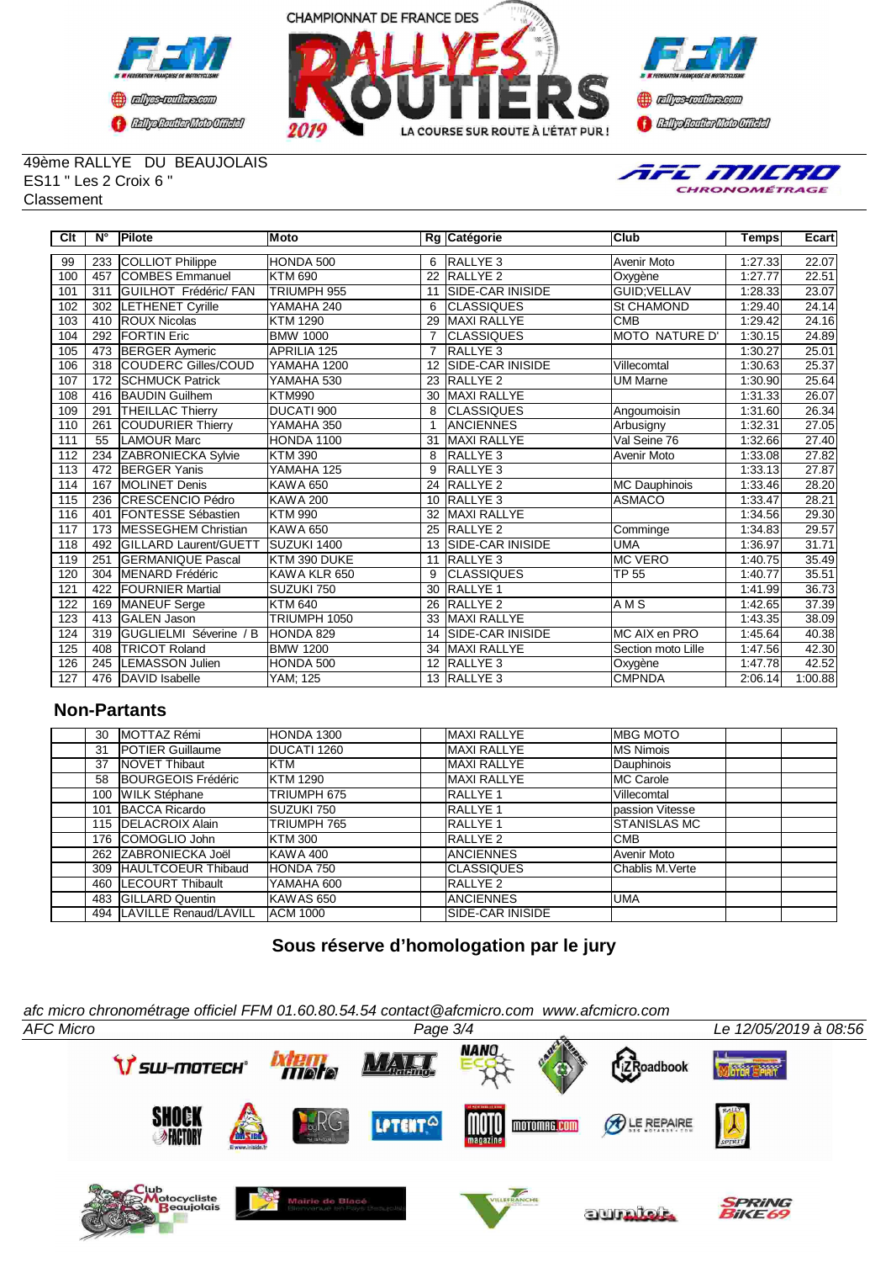





49ème RALLYE DU BEAUJOLAIS ES11 " Les 2 Croix 6 " Classement



| Clt | $N^{\circ}$      | Pilote                         | Moto               |                 | Rg Catégorie            | <b>Club</b>           | <b>Temps</b> | Ecart   |
|-----|------------------|--------------------------------|--------------------|-----------------|-------------------------|-----------------------|--------------|---------|
| 99  | 233              | COLLIOT Philippe               | HONDA 500          | 6               | <b>RALLYE 3</b>         | Avenir Moto           | 1:27.33      | 22.07   |
| 100 | 457              | <b>COMBES Emmanuel</b>         | <b>KTM 690</b>     | 22              | <b>RALLYE 2</b>         | Oxygène               | 1:27.77      | 22.51   |
| 101 | $\overline{311}$ | <b>IGUILHOT Frédéric/ FAN</b>  | TRIUMPH 955        | 11              | <b>SIDE-CAR INISIDE</b> | GUID; VELLAV          | 1:28.33      | 23.07   |
| 102 | 302              | <b>LETHENET Cyrille</b>        | YAMAHA 240         | 6               | ICLASSIQUES             | <b>St CHAMOND</b>     | 1:29.40      | 24.14   |
| 103 | 410              | <b>ROUX Nicolas</b>            | <b>KTM 1290</b>    | 29              | <b>MAXI RALLYE</b>      | CMB                   | 1:29.42      | 24.16   |
| 104 | 292              | <b>IFORTIN</b> Eric            | <b>BMW 1000</b>    | $\overline{7}$  | ICLASSIQUES             | MOTO NATURE D'        | 1:30.15      | 24.89   |
| 105 | 473              | <b>BERGER Aymeric</b>          | <b>APRILIA 125</b> | $\overline{7}$  | <b>RALLYE3</b>          |                       | 1:30.27      | 25.01   |
| 106 | 318              | <b>COUDERC Gilles/COUD</b>     | YAMAHA 1200        | 12              | <b>SIDE-CAR INISIDE</b> | Villecomtal           | 1:30.63      | 25.37   |
| 107 | 172              | <b>SCHMUCK Patrick</b>         | YAMAHA 530         | 23              | <b>RALLYE 2</b>         | <b>UM Marne</b>       | 1:30.90      | 25.64   |
| 108 | 416              | <b>BAUDIN Guilhem</b>          | <b>KTM990</b>      | $\overline{30}$ | <b>MAXI RALLYE</b>      |                       | 1:31.33      | 26.07   |
| 109 | 291              | <b>THEILLAC Thierry</b>        | DUCATI 900         | 8               | <b>CLASSIQUES</b>       | Angoumoisin           | 1:31.60      | 26.34   |
| 110 | 261              | <b>COUDURIER Thierry</b>       | YAMAHA 350         | 1               | <b>ANCIENNES</b>        | Arbusigny             | 1:32.31      | 27.05   |
| 111 | 55               | <b>LAMOUR Marc</b>             | <b>HONDA 1100</b>  | 31              | <b>MAXI RALLYE</b>      | Val Seine 76          | 1:32.66      | 27.40   |
| 112 | 234              | ZABRONIECKA Sylvie             | <b>KTM 390</b>     | 8               | <b>RALLYE3</b>          | Avenir Moto           | 1:33.08      | 27.82   |
| 113 | 472              | <b>BERGER Yanis</b>            | YAMAHA 125         | 9               | <b>RALLYE 3</b>         |                       | 1:33.13      | 27.87   |
| 114 | 167              | <b>IMOLINET Denis</b>          | <b>KAWA 650</b>    | 24              | <b>RALLYE 2</b>         | MC Dauphinois         | 1:33.46      | 28.20   |
| 115 | 236              | <b>CRESCENCIO Pédro</b>        | <b>KAWA 200</b>    | 10              | <b>RALLYE3</b>          | <b>ASMACO</b>         | 1:33.47      | 28.21   |
| 116 | 401              | <b>FONTESSE Sébastien</b>      | <b>KTM 990</b>     | 32              | <b>MAXI RALLYE</b>      |                       | 1:34.56      | 29.30   |
| 117 | 173              | <b>IMESSEGHEM Christian</b>    | <b>KAWA 650</b>    | 25              | <b>RALLYE 2</b>         | Comminge              | 1:34.83      | 29.57   |
| 118 | 492              | GILLARD Laurent/GUETT          | SUZUKI 1400        | 13              | <b>SIDE-CAR INISIDE</b> | <b>UMA</b>            | 1:36.97      | 31.71   |
| 119 | 251              | <b>IGERMANIQUE Pascal</b>      | KTM 390 DUKE       | 11              | <b>RALLYE 3</b>         | IMC VERO              | 1:40.75      | 35.49   |
| 120 | 304              | <b>MENARD Frédéric</b>         | KAWA KLR 650       | 9               | <b>CLASSIQUES</b>       | TP 55                 | 1:40.77      | 35.51   |
| 121 | 422              | <b>IFOURNIER Martial</b>       | SUZUKI 750         | 30              | <b>RALLYE 1</b>         |                       | 1:41.99      | 36.73   |
| 122 | 169              | MANEUF Serge                   | <b>KTM 640</b>     | 26              | <b>RALLYE 2</b>         | IA M S                | 1:42.65      | 37.39   |
| 123 | 413              | <b>GALEN Jason</b>             | TRIUMPH 1050       | 33              | <b>MAXI RALLYE</b>      |                       | 1:43.35      | 38.09   |
| 124 | 319              | <b>IGUGLIELMI Séverine / B</b> | HONDA 829          | 14              | <b>SIDE-CAR INISIDE</b> | <b>IMC AIX en PRO</b> | 1:45.64      | 40.38   |
| 125 | 408              | <b>TRICOT Roland</b>           | <b>BMW 1200</b>    | 34              | <b>MAXI RALLYE</b>      | Section moto Lille    | 1:47.56      | 42.30   |
| 126 | 245              | <b>LEMASSON Julien</b>         | HONDA 500          | 12              | <b>RALLYE 3</b>         | Oxygène               | 1:47.78      | 42.52   |
| 127 | 476              | DAVID Isabelle                 | YAM; 125           |                 | 13 RALLYE 3             | <b>CMPNDA</b>         | 2:06.14      | 1:00.88 |

## **Non-Partants**

| 30  | <b>IMOTTAZ Rémi</b>         | <b>HONDA 1300</b> | <b>MAXI RALLYE</b>       | <b>IMBG MOTO</b>  |  |
|-----|-----------------------------|-------------------|--------------------------|-------------------|--|
| 31  | <b>IPOTIER Guillaume</b>    | DUCATI 1260       | <b>MAXI RALLYE</b>       | <b>IMS Nimois</b> |  |
| 37  | <b>NOVET Thibaut</b>        | KTM               | <b>MAXI RALLYE</b>       | Dauphinois        |  |
| 58  | <b>BOURGEOIS Frédéric</b>   | KTM 1290          | <b>MAXI RALLYE</b>       | <b>IMC Carole</b> |  |
| 100 | <b>WILK Stéphane</b>        | TRIUMPH 675       | <b>RALLYE 1</b>          | Villecomtal       |  |
| 101 | <b>BACCA Ricardo</b>        | ISUZUKI 750       | <b>RALLYE 1</b>          | passion Vitesse   |  |
|     | 115 <b>IDELACROIX</b> Alain | TRIUMPH 765       | <b>RALLYE 1</b>          | ISTANISLAS MC     |  |
|     | 176 COMOGLIO John           | <b>KTM 300</b>    | RALLYE <sub>2</sub>      | <b>ICMB</b>       |  |
|     | 262 ZABRONIECKA Joël        | KAWA 400          | <b>ANCIENNES</b>         | Avenir Moto       |  |
|     | 309 IHAULTCOEUR Thibaud     | <b>HONDA 750</b>  | <b>ICLASSIQUES</b>       | Chablis M.Verte   |  |
| 460 | <b>ILECOURT Thibault</b>    | YAMAHA 600        | <b>IRALLYE 2</b>         |                   |  |
|     | 483 <b>IGILLARD</b> Quentin | KAWAS 650         | <b>ANCIENNES</b>         | <b>IUMA</b>       |  |
|     | 494 LAVILLE Renaud/LAVILL   | ACM 1000          | <b>ISIDE-CAR INISIDE</b> |                   |  |

# **Sous réserve d'homologation par le jury**

*afc micro chronométrage officiel FFM 01.60.80.54.54 contact@afcmicro.com www.afcmicro.com*